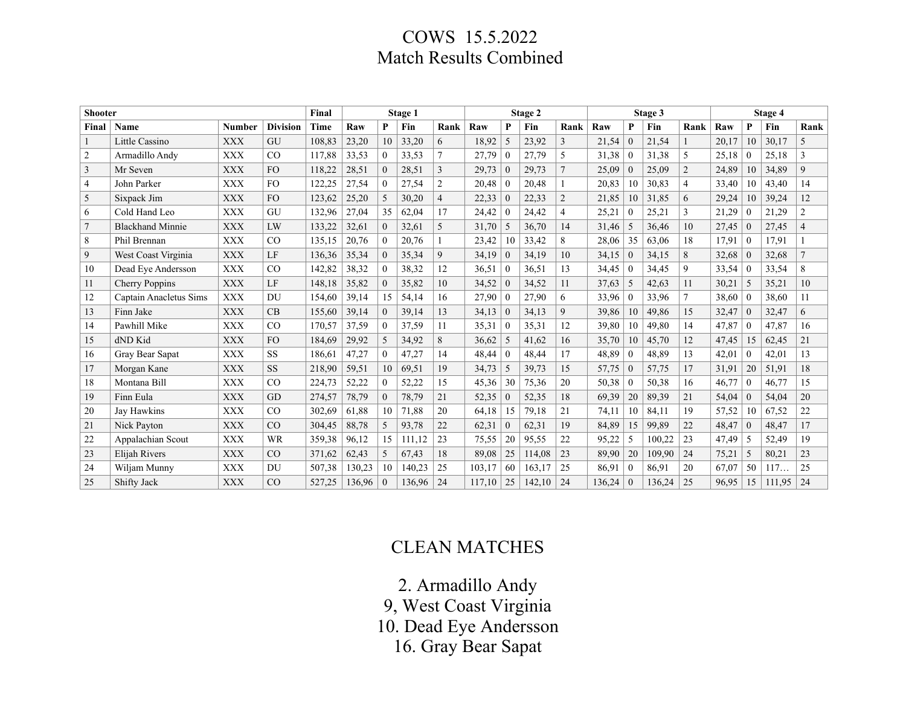## COWS 15.5.2022 Match Results Combined

| <b>Shooter</b> |                         |               |                 | Final       |        |                | Stage 1 |                |        |                  | Stage 2 |                |        |                | Stage 3 |                |       |                | Stage 4 |                |
|----------------|-------------------------|---------------|-----------------|-------------|--------|----------------|---------|----------------|--------|------------------|---------|----------------|--------|----------------|---------|----------------|-------|----------------|---------|----------------|
| Final          | Name                    | <b>Number</b> | <b>Division</b> | <b>Time</b> | Raw    | P              | Fin     | Rank           | Raw    | P                | Fin     | Rank           | Raw    | P              | Fin     | Rank           | Raw   | P              | Fin     | Rank           |
|                | Little Cassino          | <b>XXX</b>    | GU              | 108,83      | 23,20  | 10             | 33,20   | 6              | 18,92  | 5                | 23,92   | 3              | 21,54  | $\overline{0}$ | 21,54   |                | 20,17 | 10             | 30,17   | 5              |
| $\overline{2}$ | Armadillo Andv          | <b>XXX</b>    | CO              | 117.88      | 33,53  | $\theta$       | 33,53   |                | 27,79  | $\Omega$         | 27,79   | 5              | 31,38  | $\theta$       | 31.38   | 5              | 25,18 | $\sqrt{ }$     | 25,18   | 3              |
| $\overline{3}$ | Mr Seven                | <b>XXX</b>    | <b>FO</b>       | 118,22      | 28,51  | $\overline{0}$ | 28,51   | $\overline{3}$ | 29,73  | $\theta$         | 29,73   | $\overline{7}$ | 25,09  | $\mathbf{0}$   | 25,09   | $\overline{2}$ | 24,89 | 10             | 34,89   | 9              |
| $\overline{4}$ | John Parker             | <b>XXX</b>    | FO.             | 122.25      | 27,54  | $\theta$       | 27,54   | $\overline{2}$ | 20,48  | $\overline{0}$   | 20,48   |                | 20,83  | 10             | 30,83   | $\overline{4}$ | 33,40 | 10             | 43,40   | 14             |
| 5              | Sixpack Jim             | <b>XXX</b>    | FO.             | 123,62      | 25,20  | 5              | 30,20   | $\overline{4}$ | 22,33  | $\bf{0}$         | 22,33   | $\overline{2}$ | 21,85  | 10             | 31,85   | 6              | 29,24 | 10             | 39,24   | 12             |
| 6              | Cold Hand Leo           | <b>XXX</b>    | GU              | 132,96      | 27,04  | 35             | 62,04   | 17             | 24,42  | $\Omega$         | 24,42   | 4              | 25,21  | $\theta$       | 25,21   | 3              | 21,29 | $\sqrt{ }$     | 21,29   | $\overline{2}$ |
| $\overline{7}$ | <b>Blackhand Minnie</b> | <b>XXX</b>    | LW              | 133,22      | 32,61  | $\theta$       | 32,61   | 5              | 31,70  | 5                | 36,70   | 14             | 31,46  | 5              | 36,46   | 10             | 27,45 | $\theta$       | 27,45   | $\overline{4}$ |
| 8              | Phil Brennan            | <b>XXX</b>    | CO              | 135,15      | 20,76  | $\theta$       | 20,76   |                | 23,42  | 10               | 33,42   | 8              | 28,06  | 35             | 63,06   | 18             | 17,91 | $\overline{0}$ | 17,91   | 1              |
| 9              | West Coast Virginia     | <b>XXX</b>    | LF              | 136,36      | 35,34  | $\theta$       | 35,34   | 9              | 34,19  | $\overline{0}$   | 34,19   | 10             | 34,15  | $\mathbf{0}$   | 34,15   | 8              | 32,68 | $\overline{0}$ | 32,68   | $\overline{7}$ |
| 10             | Dead Eye Andersson      | <b>XXX</b>    | CO              | 142,82      | 38,32  | $\Omega$       | 38,32   | 12             | 36,51  | $\Omega$         | 36,51   | 13             | 34,45  | $\Omega$       | 34,45   | 9              | 33,54 | $\Omega$       | 33,54   | 8              |
| 11             | Cherry Poppins          | <b>XXX</b>    | LF              | 148,18      | 35,82  | $\overline{0}$ | 35,82   | 10             | 34,52  | $\theta$         | 34,52   | 11             | 37,63  | 5              | 42,63   | 11             | 30,21 | -5             | 35,21   | 10             |
| 12             | Captain Anacletus Sims  | <b>XXX</b>    | <b>DU</b>       | 154,60      | 39,14  | 15             | 54,14   | 16             | 27,90  | $\overline{0}$   | 27,90   | 6              | 33,96  | $\mathbf{0}$   | 33,96   |                | 38,60 | $\Omega$       | 38,60   | 11             |
| 13             | Finn Jake               | <b>XXX</b>    | CB              | 155,60      | 39,14  | $\overline{0}$ | 39,14   | 13             | 34,13  | $\overline{0}$   | 34,13   | 9              | 39,86  | 10             | 49,86   | 15             | 32,47 | $\overline{0}$ | 32,47   | 6              |
| 14             | Pawhill Mike            | <b>XXX</b>    | CO              | 170,57      | 37,59  | $\Omega$       | 37,59   | 11             | 35,31  | $\Omega$         | 35,31   | 12             | 39,80  | 10             | 49,80   | 14             | 47,87 | $\Omega$       | 47,87   | 16             |
| 15             | dND Kid                 | <b>XXX</b>    | FO.             | 184,69      | 29,92  | .5             | 34,92   | 8              | 36,62  | 5                | 41,62   | 16             | 35,70  | 10             | 45,70   | 12             | 47,45 | 15             | 62,45   | 21             |
| 16             | Gray Bear Sapat         | <b>XXX</b>    | <b>SS</b>       | 186,61      | 47,27  | $\theta$       | 47,27   | 14             | 48,44  | $\boldsymbol{0}$ | 48,44   | 17             | 48,89  | $\overline{0}$ | 48,89   | 13             | 42,01 | $\mathbf{0}$   | 42,01   | 13             |
| 17             | Morgan Kane             | <b>XXX</b>    | <b>SS</b>       | 218,90      | 59,51  | 10             | 69,51   | 19             | 34,73  | 5                | 39,73   | 15             | 57,75  | $\mathbf{0}$   | 57,75   | 17             | 31,91 | 20             | 51,91   | 18             |
| 18             | Montana Bill            | <b>XXX</b>    | CO              | 224,73      | 52,22  | $\overline{0}$ | 52,22   | 15             | 45,36  | 30               | 75,36   | 20             | 50,38  | $\overline{0}$ | 50,38   | 16             | 46,77 | $\overline{0}$ | 46,77   | 15             |
| 19             | Finn Eula               | <b>XXX</b>    | <b>GD</b>       | 274,57      | 78,79  | $\theta$       | 78,79   | 21             | 52,35  | $\Omega$         | 52,35   | 18             | 69,39  | 20             | 89,39   | 21             | 54,04 | $\Omega$       | 54,04   | 20             |
| 20             | Jay Hawkins             | <b>XXX</b>    | CO              | 302,69      | 61,88  | 10             | 71,88   | 20             | 64,18  | 15               | 79,18   | 21             | 74,11  | 10             | 84,11   | 19             | 57,52 | 10             | 67,52   | 22             |
| 21             | Nick Payton             | <b>XXX</b>    | CO              | 304,45      | 88,78  | 5              | 93,78   | 22             | 62,31  | $\theta$         | 62,31   | 19             | 84,89  | 15             | 99,89   | 22             | 48,47 | $\overline{0}$ | 48,47   | 17             |
| 22             | Appalachian Scout       | <b>XXX</b>    | <b>WR</b>       | 359,38      | 96,12  | 15             | 111,12  | 23             | 75,55  | 20               | 95,55   | 22             | 95,22  | 5              | 100,22  | 23             | 47,49 | -5             | 52,49   | 19             |
| 23             | Elijah Rivers           | <b>XXX</b>    | CO              | 371,62      | 62,43  | 5              | 67,43   | 18             | 89,08  | 25               | 114,08  | 23             | 89,90  | 20             | 109,90  | 24             | 75,21 | .5             | 80,21   | 23             |
| 24             | Wiljam Munny            | <b>XXX</b>    | DU              | 507,38      | 130,23 | 10             | 140,23  | 25             | 103,17 | 60               | 163,17  | 25             | 86,91  | $\Omega$       | 86,91   | 20             | 67,07 | 50             | 117     | 25             |
| 25             | Shifty Jack             | <b>XXX</b>    | CO              | 527,25      | 136,96 | $\mathbf{0}$   | 136,96  | 24             | 117.10 | 25               | 142,10  | 24             | 136,24 | $\theta$       | 136,24  | 25             | 96,95 | 15             | 111,95  | 24             |

# CLEAN MATCHES

2. Armadillo Andy

9, West Coast Virginia

10. Dead Eye Andersson

16. Gray Bear Sapat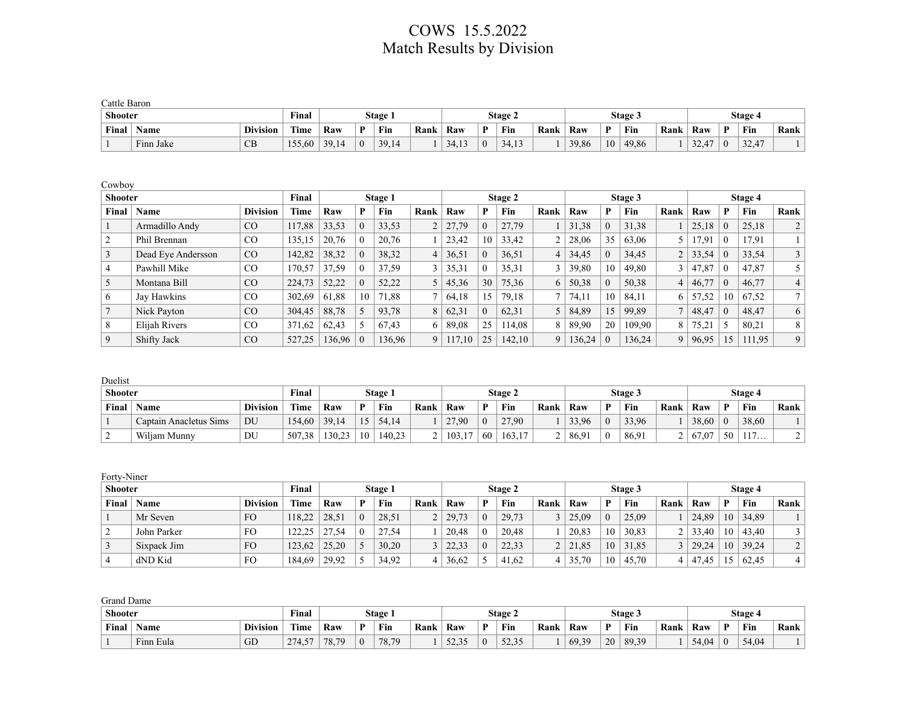### COWS 15.5.2022 Match Results by Division

| Cattle Baron   |           |                 |              |       |          |         |      |       |                |      |       |              |                |      |               |              |         |      |
|----------------|-----------|-----------------|--------------|-------|----------|---------|------|-------|----------------|------|-------|--------------|----------------|------|---------------|--------------|---------|------|
| <b>Shooter</b> |           |                 | <b>Final</b> |       |          | Stage 1 |      |       | <b>Stage 2</b> |      |       |              | <b>Stage 3</b> |      |               |              | Stage 4 |      |
| Final          | Name      | <b>Division</b> | Time         | Raw   | D        | Fin     | Rank | Raw   | Fin            | Rank | Raw   | $\mathbf{D}$ | Fin            | Rank | Raw           | $\mathbf{D}$ | Fin     | Rank |
|                | Finn Jake | CB              | 155,60       | 39,14 | $\theta$ | 39,14   |      | 34,13 | 34.13          |      | 39,86 | 10           | 49,86          |      | 22.47<br>32.4 | $\Omega$     | 32,47   |      |

Cowboy

| <b>Shooter</b> |                    |                 | Final       |        |    | Stage 1 |      |        |    | Stage 2 |        |        |    | Stage 3 |                |       |          | Stage 4 |                |
|----------------|--------------------|-----------------|-------------|--------|----|---------|------|--------|----|---------|--------|--------|----|---------|----------------|-------|----------|---------|----------------|
| Final          | Name               | <b>Division</b> | <b>Time</b> | Raw    |    | Fin     | Rank | Raw    | P  | Fin     | Rank   | Raw    | P  | Fin     | Rank           | Raw   | P        | Fin     | Rank           |
|                | Armadillo Andy     | CO              | 117,88      | 33,53  |    | 33,53   |      | 27,79  |    | 27,79   |        | 31,38  |    | 31,38   |                | 25,18 | $\theta$ | 25,18   |                |
|                | Phil Brennan       | CO.             | 135,15      | 20,76  |    | 20,76   |      | 23,42  | 10 | 33,42   | ◠      | 28,06  | 35 | 63,06   |                | 17.91 | $\theta$ | 17.91   |                |
|                | Dead Eye Andersson | CO              | 142,82      | 38,32  |    | 38,32   | 4    | 36,51  |    | 36,51   | 4      | 34,45  |    | 34,45   | 2              | 33,54 | $\theta$ | 33,54   |                |
|                | Pawhill Mike       | $\rm CO$        | 170,57      | 37,59  |    | 37,59   |      | 35,31  |    | 35,31   | $\sim$ | 39,80  | 10 | 49,80   |                | 47,87 | $\theta$ | 47,87   |                |
|                | Montana Bill       | CO              | 224.73      | 52,22  |    | 52,22   |      | 45,36  | 30 | 75,36   | 6      | 50,38  |    | 50,38   | 4              | 46,77 | $\theta$ | 46,77   |                |
|                | Jay Hawkins        | CO              | 302,69      | 61,88  | 10 | 71,88   |      | 64,18  | 15 | 79,18   |        | 74,11  | 10 | 84.11   | 6              | 57,52 | 10       | 67,52   | 7              |
|                | Nick Payton        | CO              | 304,45      | 88,78  |    | 93,78   | 8    | 62,31  |    | 62,31   |        | 84,89  | 15 | 99,89   | $\overline{ }$ | 48,47 | $\theta$ | 48,47   | 6              |
|                | Elijah Rivers      | CO              | 371.62      | 62,43  |    | 67.43   | 6    | 89,08  | 25 | 114.08  | 8      | 89,90  | 20 | 109.90  | 8              | 75,21 |          | 80,21   | 8.             |
|                | Shifty Jack        | CO              | 527,25      | 136,96 |    | 136,96  | 9    | 117,10 | 25 | 142,10  | 9      | 136,24 |    | 136,24  | 9              | 96,95 |          | 111,95  | 9 <sup>1</sup> |

Duelist

| <b>Shooter</b> |                        |                 | Final  |        |    | Stage 1 |      |       |          | <b>Stage 2</b> |      |       |          | Stage 3 |      |       |          | <b>Stage 4</b> |      |
|----------------|------------------------|-----------------|--------|--------|----|---------|------|-------|----------|----------------|------|-------|----------|---------|------|-------|----------|----------------|------|
| Final          | Name                   | <b>Division</b> | Time   | Raw    |    | Fin     | Rank | Raw   | D        | Fin            | Rank | Raw   | D        | Fin     | Rank | Raw   | D        | Fin            | Rank |
|                | Captain Anacletus Sims | DU              | 154,60 | 39.14  | 15 | 54.14   |      | 27.90 | $\Omega$ | 27.90          |      | 33,96 | $\Omega$ | 33,96   |      | 38.60 | $\theta$ | 38.60          |      |
|                | Wiljam Munny           | DU              | 507,38 | 130,23 | 10 | 140.23  |      | 103,1 | 60       | 163,17         | ∼    | 86,91 | 0        | 86,91   | ∸    | 67.07 | 50       | 117<br>11/     |      |

| Forty-Niner    |             |                 |             |       |         |      |       |          |         |      |       |          |         |      |       |    |         |                |
|----------------|-------------|-----------------|-------------|-------|---------|------|-------|----------|---------|------|-------|----------|---------|------|-------|----|---------|----------------|
| <b>Shooter</b> |             |                 | Final       |       | Stage 1 |      |       |          | Stage 2 |      |       |          | Stage 3 |      |       |    | Stage 4 |                |
| Final          | <b>Name</b> | <b>Division</b> | <b>Time</b> | Raw   | Fin     | Rank | Raw   | D        | Fin     | Rank | Raw   | D        | Fin     | Rank | Raw   | P  | Fin     | Rank           |
|                | Mr Seven    | FO              | 118,22      | 28,51 | 28,51   |      | 29.73 | $\theta$ | 29,73   |      | 25,09 | $\Omega$ | 25,09   |      | 24,89 | 10 | 34,89   |                |
|                | John Parker | FO              | 122,25      | 27.54 | 27,54   |      | 20,48 | $\Omega$ | 20,48   |      | 20,83 | 10       | 30,83   |      | 33,40 | 10 | 43,40   |                |
|                | Sixpack Jim | <b>FO</b>       | 123,62      | 25,20 | 30,20   |      | 22,33 | $\Omega$ | 22,33   |      | 21,85 | 10       | 31,85   |      | 29,24 | 10 | 39,24   | $\overline{2}$ |
| 4              | dND Kid     | FO              | 184,69      | 29,92 | 34,92   |      | 36,62 |          | 41,62   |      | 35,70 | 10       | 45,70   |      | 47,45 |    | 62,45   | $\overline{4}$ |

Grand Dame

| <b>Shooter</b> |                                                                              |    | $\mathbf{r}$<br>∀inal |     | Stage 1    |     |                           |     | Stage 2                             |     |       |          | Stage 3 |     |      |     | Stage . |  |
|----------------|------------------------------------------------------------------------------|----|-----------------------|-----|------------|-----|---------------------------|-----|-------------------------------------|-----|-------|----------|---------|-----|------|-----|---------|--|
| Final          | canne.<br>$\mathbf{r}$<br>Raw<br><b>Division</b><br>D<br>Name<br>Lîme<br>Fin |    |                       |     | Rank       | Raw | D                         | Fin | Rank                                | Raw | Ð     | Fin      | Rank    | Raw | D    | Fin | Rank    |  |
|                | Finn<br>∟Eula                                                                | GD | $-$<br>274<br>ت -     | 78. | 70<br>78.7 |     | $\sim$ $\sim$<br>ہ د کہ ک |     | $\sim$ $\sim$ $\sim$<br>- - - - - - |     | 69,39 | 20<br>∠∪ | 8939    |     | 4.04 |     | 54.04   |  |